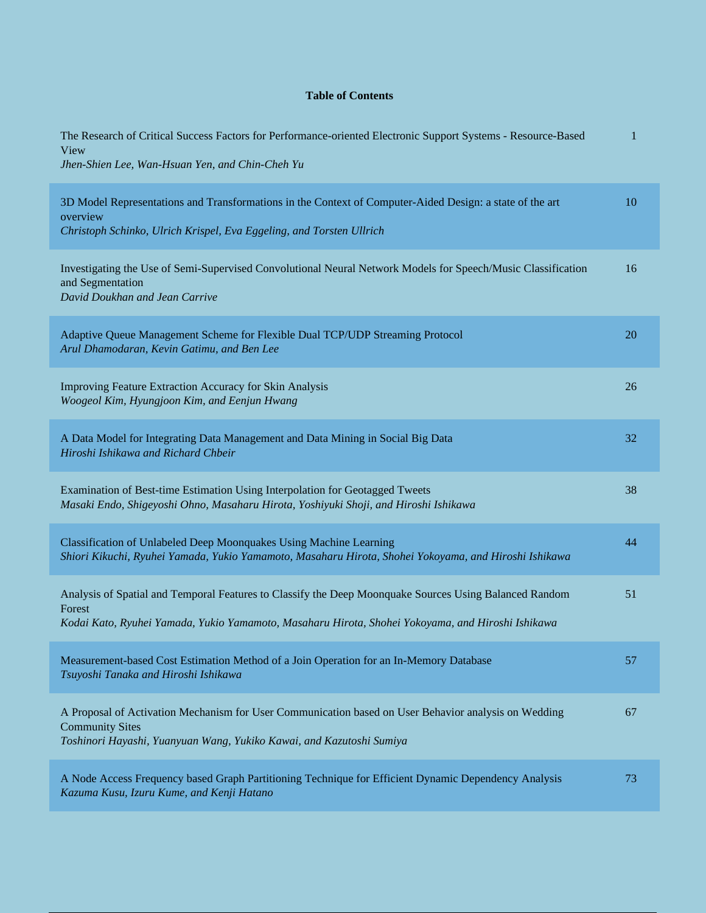## **Table of Contents**

| The Research of Critical Success Factors for Performance-oriented Electronic Support Systems - Resource-Based<br>View<br>Jhen-Shien Lee, Wan-Hsuan Yen, and Chin-Cheh Yu                                              | $\mathbf 1$ |
|-----------------------------------------------------------------------------------------------------------------------------------------------------------------------------------------------------------------------|-------------|
| 3D Model Representations and Transformations in the Context of Computer-Aided Design: a state of the art<br>overview<br>Christoph Schinko, Ulrich Krispel, Eva Eggeling, and Torsten Ullrich                          | 10          |
| Investigating the Use of Semi-Supervised Convolutional Neural Network Models for Speech/Music Classification<br>and Segmentation<br>David Doukhan and Jean Carrive                                                    | 16          |
| Adaptive Queue Management Scheme for Flexible Dual TCP/UDP Streaming Protocol<br>Arul Dhamodaran, Kevin Gatimu, and Ben Lee                                                                                           | 20          |
| Improving Feature Extraction Accuracy for Skin Analysis<br>Woogeol Kim, Hyungjoon Kim, and Eenjun Hwang                                                                                                               | 26          |
| A Data Model for Integrating Data Management and Data Mining in Social Big Data<br>Hiroshi Ishikawa and Richard Chbeir                                                                                                | 32          |
| Examination of Best-time Estimation Using Interpolation for Geotagged Tweets<br>Masaki Endo, Shigeyoshi Ohno, Masaharu Hirota, Yoshiyuki Shoji, and Hiroshi Ishikawa                                                  | 38          |
| Classification of Unlabeled Deep Moonquakes Using Machine Learning<br>Shiori Kikuchi, Ryuhei Yamada, Yukio Yamamoto, Masaharu Hirota, Shohei Yokoyama, and Hiroshi Ishikawa                                           | 44          |
| Analysis of Spatial and Temporal Features to Classify the Deep Moonquake Sources Using Balanced Random<br>Forest<br>Kodai Kato, Ryuhei Yamada, Yukio Yamamoto, Masaharu Hirota, Shohei Yokoyama, and Hiroshi Ishikawa | 51          |
| Measurement-based Cost Estimation Method of a Join Operation for an In-Memory Database<br>Tsuyoshi Tanaka and Hiroshi Ishikawa                                                                                        | 57          |
| A Proposal of Activation Mechanism for User Communication based on User Behavior analysis on Wedding<br><b>Community Sites</b><br>Toshinori Hayashi, Yuanyuan Wang, Yukiko Kawai, and Kazutoshi Sumiya                | 67          |
| A Node Access Frequency based Graph Partitioning Technique for Efficient Dynamic Dependency Analysis<br>Kazuma Kusu, Izuru Kume, and Kenji Hatano                                                                     | 73          |